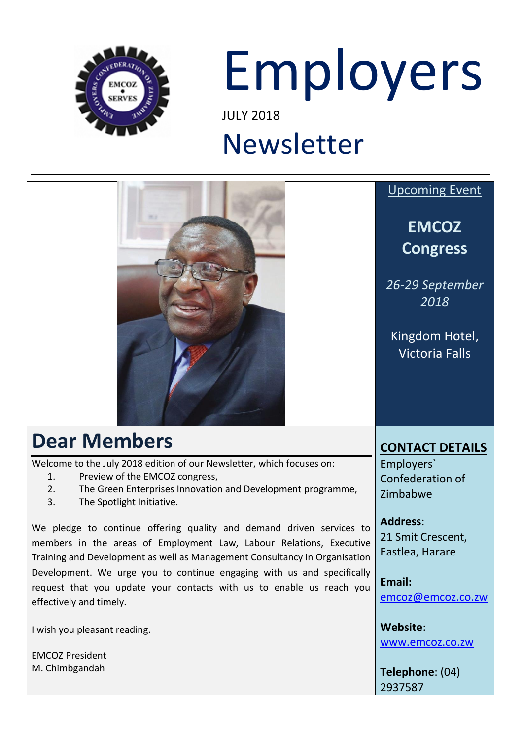

# Employers JULY 2018

# Newsletter



EMCOZ President M. Chimbgandah

**Telephone**: (04) 2937587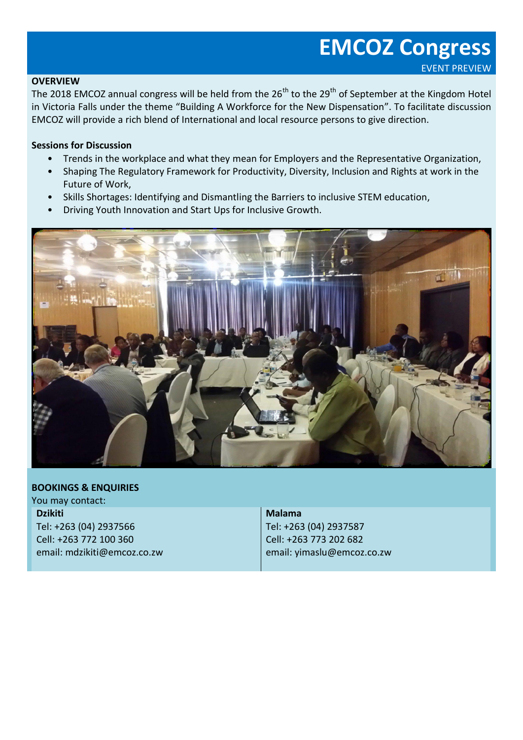### **EMCOZ Congress** EVENT PREVIEW

#### **OVERVIEW**

The 2018 EMCOZ annual congress will be held from the 26<sup>th</sup> to the 29<sup>th</sup> of September at the Kingdom Hotel in Victoria Falls under the theme "Building A Workforce for the New Dispensation". To facilitate discussion EMCOZ will provide a rich blend of International and local resource persons to give direction.

#### **Sessions for Discussion**

- Trends in the workplace and what they mean for Employers and the Representative Organization,
- Shaping The Regulatory Framework for Productivity, Diversity, Inclusion and Rights at work in the Future of Work,
- Skills Shortages: Identifying and Dismantling the Barriers to inclusive STEM education,
- Driving Youth Innovation and Start Ups for Inclusive Growth.



#### **BOOKINGS & ENQUIRIES**

You may contact: **Dzikiti** Tel: +263 (04) 2937566 Cell: +263 772 100 360 email: mdzikiti@emcoz.co.zw

**Malama**

Tel: +263 (04) 2937587 Cell: +263 773 202 682 email: yimaslu@emcoz.co.zw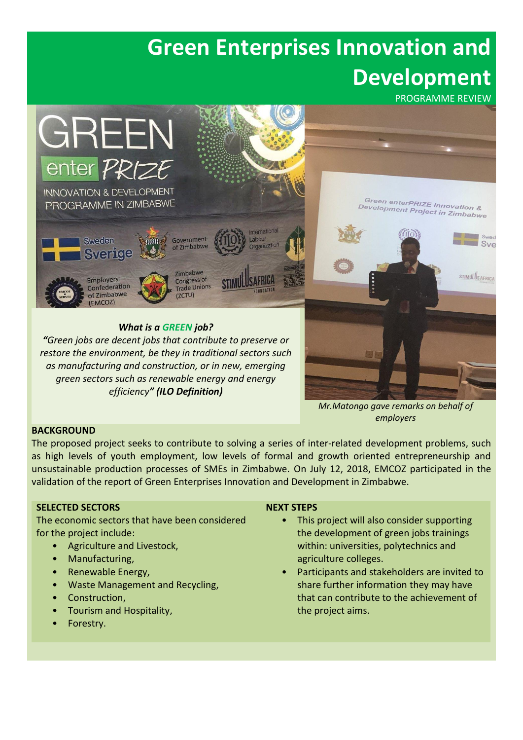## **Green Enterprises Innovation and Development**

PROGRAMME REVIEW



*as manufacturing and construction, or in new, emerging green sectors such as renewable energy and energy efficiency" (ILO Definition)*

> *Mr.Matongo gave remarks on behalf of employers*

#### **BACKGROUND**

The proposed project seeks to contribute to solving a series of inter-related development problems, such as high levels of youth employment, low levels of formal and growth oriented entrepreneurship and unsustainable production processes of SMEs in Zimbabwe. On July 12, 2018, EMCOZ participated in the validation of the report of Green Enterprises Innovation and Development in Zimbabwe.

#### **SELECTED SECTORS**

The economic sectors that have been considered for the project include:

- Agriculture and Livestock,
- Manufacturing,
- Renewable Energy,
- Waste Management and Recycling,
- Construction,
- Tourism and Hospitality,
- Forestry.

#### **NEXT STEPS**

- This project will also consider supporting the development of green jobs trainings within: universities, polytechnics and agriculture colleges.
- Participants and stakeholders are invited to share further information they may have that can contribute to the achievement of the project aims.